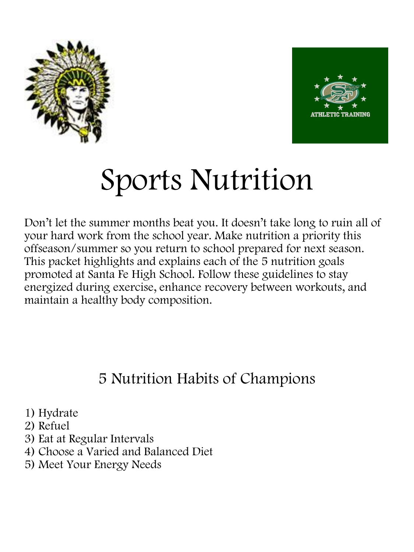



# Sports Nutrition

Don't let the summer months beat you. It doesn't take long to ruin all of your hard work from the school year. Make nutrition a priority this offseason/summer so you return to school prepared for next season. This packet highlights and explains each of the 5 nutrition goals promoted at Santa Fe High School. Follow these guidelines to stay energized during exercise, enhance recovery between workouts, and maintain a healthy body composition.

# 5 Nutrition Habits of Champions

1) Hydrate

- 2) Refuel
- 3) Eat at Regular Intervals
- 4) Choose a Varied and Balanced Diet
- 5) Meet Your Energy Needs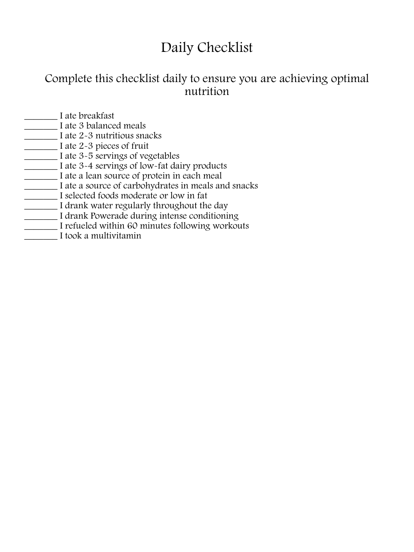# Daily Checklist

### Complete this checklist daily to ensure you are achieving optimal nutrition

- \_\_\_\_\_\_\_ I ate breakfast
- **T** I ate 3 balanced meals
- \_\_\_\_\_\_\_ I ate 2-3 nutritious snacks
- \_\_\_\_\_\_\_ I ate 2-3 pieces of fruit
- \_\_\_\_\_\_\_ I ate 3-5 servings of vegetables
- \_\_\_\_\_\_\_ I ate 3-4 servings of low-fat dairy products
- \_\_\_\_\_\_\_ I ate a lean source of protein in each meal
- I ate a source of carbohydrates in meals and snacks
- \_\_\_\_\_\_\_ I selected foods moderate or low in fat
- I drank water regularly throughout the day
- I drank Powerade during intense conditioning
- \_\_\_\_\_\_\_ I refueled within 60 minutes following workouts
- \_\_\_\_\_\_\_ I took a multivitamin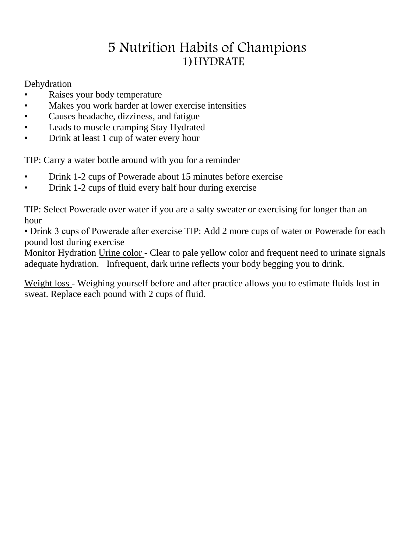# 5 Nutrition Habits of Champions 1)HYDRATE

Dehydration

- Raises your body temperature
- Makes you work harder at lower exercise intensities
- Causes headache, dizziness, and fatigue
- Leads to muscle cramping Stay Hydrated
- Drink at least 1 cup of water every hour

TIP: Carry a water bottle around with you for a reminder

- Drink 1-2 cups of Powerade about 15 minutes before exercise
- Drink 1-2 cups of fluid every half hour during exercise

TIP: Select Powerade over water if you are a salty sweater or exercising for longer than an hour

• Drink 3 cups of Powerade after exercise TIP: Add 2 more cups of water or Powerade for each pound lost during exercise

Monitor Hydration Urine color - Clear to pale yellow color and frequent need to urinate signals adequate hydration. Infrequent, dark urine reflects your body begging you to drink.

Weight loss - Weighing yourself before and after practice allows you to estimate fluids lost in sweat. Replace each pound with 2 cups of fluid.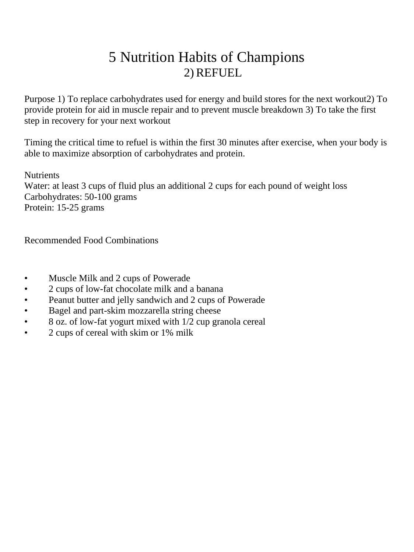# 5 Nutrition Habits of Champions 2) REFUEL

Purpose 1) To replace carbohydrates used for energy and build stores for the next workout2) To provide protein for aid in muscle repair and to prevent muscle breakdown 3) To take the first step in recovery for your next workout

Timing the critical time to refuel is within the first 30 minutes after exercise, when your body is able to maximize absorption of carbohydrates and protein.

**Nutrients** 

Water: at least 3 cups of fluid plus an additional 2 cups for each pound of weight loss Carbohydrates: 50-100 grams Protein: 15-25 grams

Recommended Food Combinations

- Muscle Milk and 2 cups of Powerade
- 2 cups of low-fat chocolate milk and a banana
- Peanut butter and jelly sandwich and 2 cups of Powerade
- Bagel and part-skim mozzarella string cheese
- 8 oz. of low-fat yogurt mixed with 1/2 cup granola cereal
- 2 cups of cereal with skim or 1% milk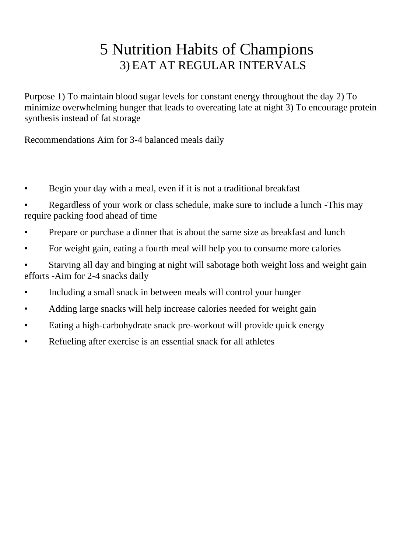# 5 Nutrition Habits of Champions 3) EAT AT REGULAR INTERVALS

Purpose 1) To maintain blood sugar levels for constant energy throughout the day 2) To minimize overwhelming hunger that leads to overeating late at night 3) To encourage protein synthesis instead of fat storage

Recommendations Aim for 3-4 balanced meals daily

- Begin your day with a meal, even if it is not a traditional breakfast
- Regardless of your work or class schedule, make sure to include a lunch -This may require packing food ahead of time
- Prepare or purchase a dinner that is about the same size as breakfast and lunch
- For weight gain, eating a fourth meal will help you to consume more calories
- Starving all day and binging at night will sabotage both weight loss and weight gain efforts -Aim for 2-4 snacks daily
- Including a small snack in between meals will control your hunger
- Adding large snacks will help increase calories needed for weight gain
- Eating a high-carbohydrate snack pre-workout will provide quick energy
- Refueling after exercise is an essential snack for all athletes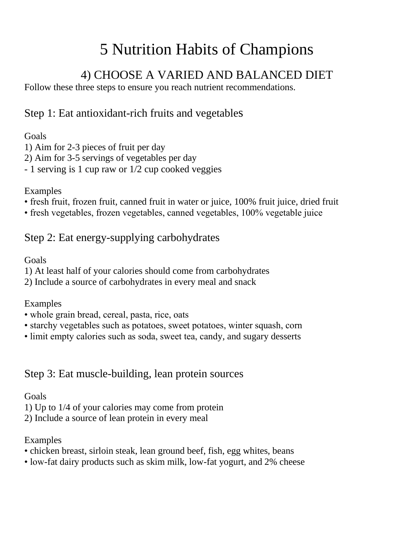# 5 Nutrition Habits of Champions

## 4) CHOOSE A VARIED AND BALANCED DIET

Follow these three steps to ensure you reach nutrient recommendations.

### Step 1: Eat antioxidant-rich fruits and vegetables

#### Goals

1) Aim for 2-3 pieces of fruit per day

2) Aim for 3-5 servings of vegetables per day

- 1 serving is 1 cup raw or 1/2 cup cooked veggies

#### Examples

- fresh fruit, frozen fruit, canned fruit in water or juice, 100% fruit juice, dried fruit
- fresh vegetables, frozen vegetables, canned vegetables, 100% vegetable juice

### Step 2: Eat energy-supplying carbohydrates

#### Goals

1) At least half of your calories should come from carbohydrates

2) Include a source of carbohydrates in every meal and snack

#### Examples

- whole grain bread, cereal, pasta, rice, oats
- starchy vegetables such as potatoes, sweet potatoes, winter squash, corn
- limit empty calories such as soda, sweet tea, candy, and sugary desserts

### Step 3: Eat muscle-building, lean protein sources

#### Goals

1) Up to 1/4 of your calories may come from protein

2) Include a source of lean protein in every meal

#### Examples

- chicken breast, sirloin steak, lean ground beef, fish, egg whites, beans
- low-fat dairy products such as skim milk, low-fat yogurt, and 2% cheese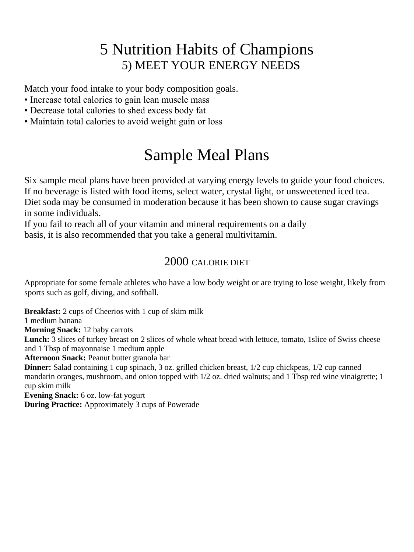# 5 Nutrition Habits of Champions 5) MEET YOUR ENERGY NEEDS

Match your food intake to your body composition goals.

- Increase total calories to gain lean muscle mass
- Decrease total calories to shed excess body fat
- Maintain total calories to avoid weight gain or loss

# Sample Meal Plans

Six sample meal plans have been provided at varying energy levels to guide your food choices. If no beverage is listed with food items, select water, crystal light, or unsweetened iced tea. Diet soda may be consumed in moderation because it has been shown to cause sugar cravings in some individuals.

If you fail to reach all of your vitamin and mineral requirements on a daily basis, it is also recommended that you take a general multivitamin.

#### 2000 CALORIE DIET

Appropriate for some female athletes who have a low body weight or are trying to lose weight, likely from sports such as golf, diving, and softball.

**Breakfast:** 2 cups of Cheerios with 1 cup of skim milk

1 medium banana

**Morning Snack:** 12 baby carrots

Lunch: 3 slices of turkey breast on 2 slices of whole wheat bread with lettuce, tomato, 1 slice of Swiss cheese and 1 Tbsp of mayonnaise 1 medium apple

**Afternoon Snack:** Peanut butter granola bar

**Dinner:** Salad containing 1 cup spinach, 3 oz. grilled chicken breast,  $1/2$  cup chickpeas,  $1/2$  cup canned mandarin oranges, mushroom, and onion topped with 1/2 oz. dried walnuts; and 1 Tbsp red wine vinaigrette; 1 cup skim milk

**Evening Snack:** 6 oz. low-fat yogurt

**During Practice:** Approximately 3 cups of Powerade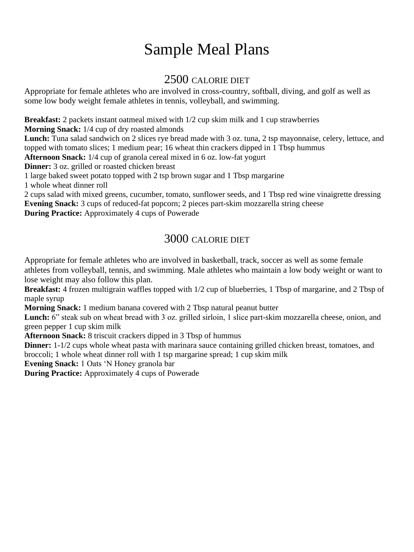# Sample Meal Plans

### 2500 CALORIE DIET

Appropriate for female athletes who are involved in cross-country, softball, diving, and golf as well as some low body weight female athletes in tennis, volleyball, and swimming.

**Breakfast:** 2 packets instant oatmeal mixed with  $1/2$  cup skim milk and 1 cup strawberries

**Morning Snack:** 1/4 cup of dry roasted almonds

**Lunch:** Tuna salad sandwich on 2 slices rye bread made with 3 oz. tuna, 2 tsp mayonnaise, celery, lettuce, and topped with tomato slices; 1 medium pear; 16 wheat thin crackers dipped in 1 Tbsp hummus

**Afternoon Snack:** 1/4 cup of granola cereal mixed in 6 oz. low-fat yogurt

**Dinner:** 3 oz. grilled or roasted chicken breast

1 large baked sweet potato topped with 2 tsp brown sugar and 1 Tbsp margarine

1 whole wheat dinner roll

2 cups salad with mixed greens, cucumber, tomato, sunflower seeds, and 1 Tbsp red wine vinaigrette dressing **Evening Snack:** 3 cups of reduced-fat popcorn; 2 pieces part-skim mozzarella string cheese **During Practice:** Approximately 4 cups of Powerade

#### 3000 CALORIE DIET

Appropriate for female athletes who are involved in basketball, track, soccer as well as some female athletes from volleyball, tennis, and swimming. Male athletes who maintain a low body weight or want to lose weight may also follow this plan.

**Breakfast:** 4 frozen multigrain waffles topped with 1/2 cup of blueberries, 1 Tbsp of margarine, and 2 Tbsp of maple syrup

**Morning Snack:** 1 medium banana covered with 2 Tbsp natural peanut butter

Lunch: 6" steak sub on wheat bread with 3 oz. grilled sirloin, 1 slice part-skim mozzarella cheese, onion, and green pepper 1 cup skim milk

**Afternoon Snack:** 8 triscuit crackers dipped in 3 Tbsp of hummus

**Dinner:** 1-1/2 cups whole wheat pasta with marinara sauce containing grilled chicken breast, tomatoes, and broccoli; 1 whole wheat dinner roll with 1 tsp margarine spread; 1 cup skim milk

**Evening Snack:** 1 Oats 'N Honey granola bar

**During Practice:** Approximately 4 cups of Powerade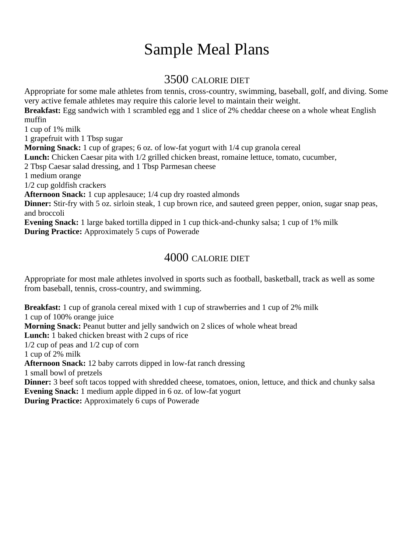# Sample Meal Plans

#### 3500 CALORIE DIET

Appropriate for some male athletes from tennis, cross-country, swimming, baseball, golf, and diving. Some very active female athletes may require this calorie level to maintain their weight.

**Breakfast:** Egg sandwich with 1 scrambled egg and 1 slice of 2% cheddar cheese on a whole wheat English muffin

1 cup of 1% milk

1 grapefruit with 1 Tbsp sugar

**Morning Snack:** 1 cup of grapes; 6 oz. of low-fat yogurt with 1/4 cup granola cereal

**Lunch:** Chicken Caesar pita with 1/2 grilled chicken breast, romaine lettuce, tomato, cucumber,

2 Tbsp Caesar salad dressing, and 1 Tbsp Parmesan cheese

1 medium orange

1/2 cup goldfish crackers

**Afternoon Snack:** 1 cup applesauce; 1/4 cup dry roasted almonds

**Dinner:** Stir-fry with 5 oz. sirloin steak, 1 cup brown rice, and sauteed green pepper, onion, sugar snap peas, and broccoli

**Evening Snack:** 1 large baked tortilla dipped in 1 cup thick-and-chunky salsa; 1 cup of 1% milk **During Practice:** Approximately 5 cups of Powerade

#### 4000 CALORIE DIET

Appropriate for most male athletes involved in sports such as football, basketball, track as well as some from baseball, tennis, cross-country, and swimming.

**Breakfast:** 1 cup of granola cereal mixed with 1 cup of strawberries and 1 cup of 2% milk 1 cup of 100% orange juice **Morning Snack:** Peanut butter and jelly sandwich on 2 slices of whole wheat bread **Lunch:** 1 baked chicken breast with 2 cups of rice 1/2 cup of peas and 1/2 cup of corn 1 cup of 2% milk **Afternoon Snack:** 12 baby carrots dipped in low-fat ranch dressing 1 small bowl of pretzels **Dinner:** 3 beef soft tacos topped with shredded cheese, tomatoes, onion, lettuce, and thick and chunky salsa **Evening Snack:** 1 medium apple dipped in 6 oz. of low-fat yogurt

**During Practice:** Approximately 6 cups of Powerade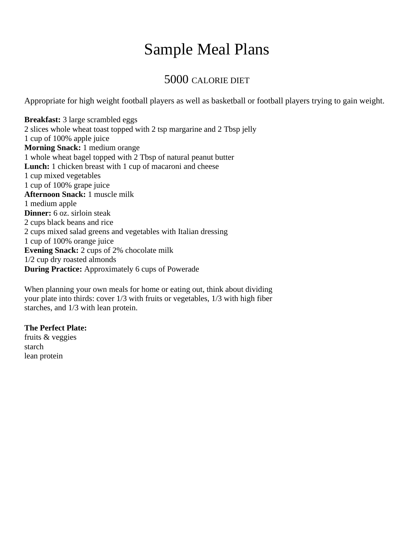# Sample Meal Plans

#### 5000 CALORIE DIET

Appropriate for high weight football players as well as basketball or football players trying to gain weight.

**Breakfast:** 3 large scrambled eggs 2 slices whole wheat toast topped with 2 tsp margarine and 2 Tbsp jelly 1 cup of 100% apple juice **Morning Snack:** 1 medium orange 1 whole wheat bagel topped with 2 Tbsp of natural peanut butter Lunch: 1 chicken breast with 1 cup of macaroni and cheese 1 cup mixed vegetables 1 cup of 100% grape juice **Afternoon Snack:** 1 muscle milk 1 medium apple **Dinner:** 6 oz. sirloin steak 2 cups black beans and rice 2 cups mixed salad greens and vegetables with Italian dressing 1 cup of 100% orange juice **Evening Snack:** 2 cups of 2% chocolate milk 1/2 cup dry roasted almonds **During Practice:** Approximately 6 cups of Powerade

When planning your own meals for home or eating out, think about dividing your plate into thirds: cover 1/3 with fruits or vegetables, 1/3 with high fiber starches, and 1/3 with lean protein.

#### **The Perfect Plate:**

fruits & veggies starch lean protein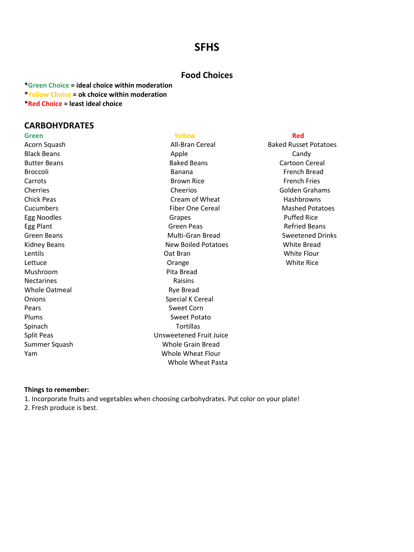#### **SFHS**

#### **Food Choices**

**\*Green Choice = ideal choice within moderation \*Yellow Choice = ok choice within moderation \*Red Choice = least ideal choice**

#### **CARBOHYDRATES**

**Green Yellow Red** Mushroom Pita Bread Nectarines **Nectaring Raisins** Whole Oatmeal **Rye Bread** Pears **Sweet Corn** Spinach **Tortillas** 

Black Beans **Apple** Candy Candy Butter Beans Baked Beans Cartoon Cereal Broccoli Banana French Bread Carrots **Exercise Exercise Exercise Carrots** Brown Rice **French Fries** French Fries Cherries Cheerios Golden Grahams Chick Peas Cream of Wheat Hashbrowns Cucumbers Fiber One Cereal Mashed Potatoes Egg Noodles **Grapes** Grapes **Grapes Puffed Rice** Puffed Rice Egg Plant **Green Peas** Green Peas **Green Peas** Refried Beans Green Beans Green Beans Green Bread Crinks Bread Sweetened Drinks Kidney Beans **New Boiled Potatoes** White Bread Lentils **Communist Communist Communist Contract Contract Contract Contract Contract Contract Contract Contract Contract Contract Contract Contract Contract Contract Contract Contract Contract Contract Contract Contract Con** Lettuce **Construction Community** Crange **Construction Community Community** Crange **Construction Community** Construction Community Community Community Community Community Community Community Community Community Community Co Onions Special K Cereal Plums Sweet Potato Split Peas Unsweetened Fruit Juice Summer Squash Whole Grain Bread Yam Whole Wheat Flour Whole Wheat Pasta

Acorn Squash **All**-Bran Cereal Baked Russet Potatoes

#### **Things to remember:**

1. Incorporate fruits and vegetables when choosing carbohydrates. Put color on your plate!

2. Fresh produce is best.